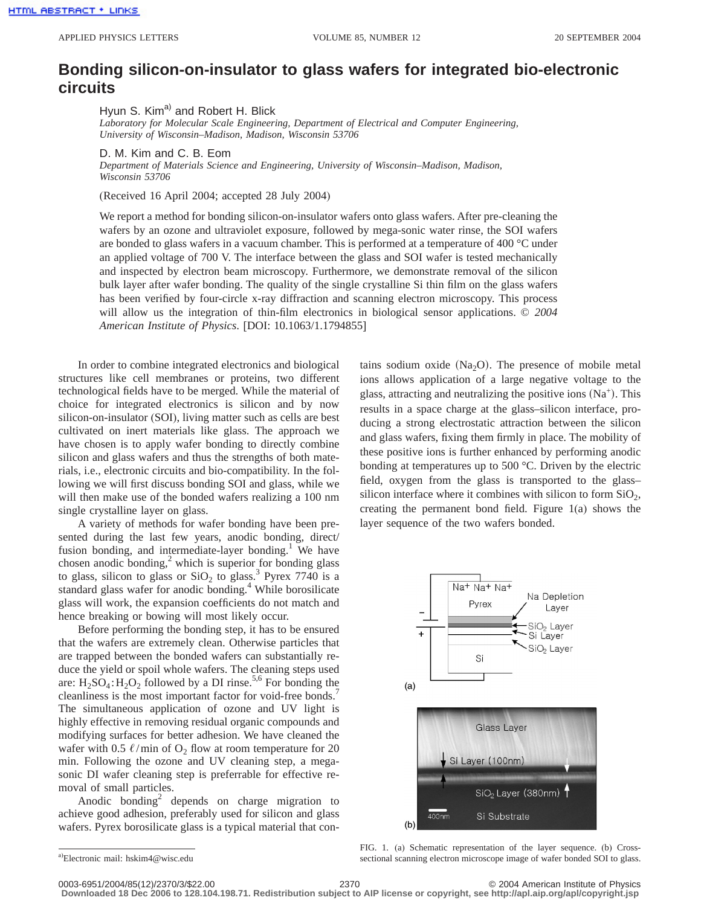## **Bonding silicon-on-insulator to glass wafers for integrated bio-electronic circuits**

Hyun S. Kim<sup>a)</sup> and Robert H. Blick

*Laboratory for Molecular Scale Engineering, Department of Electrical and Computer Engineering, University of Wisconsin–Madison, Madison, Wisconsin 53706*

D. M. Kim and C. B. Eom

*Department of Materials Science and Engineering, University of Wisconsin–Madison, Madison, Wisconsin 53706*

(Received 16 April 2004; accepted 28 July 2004)

We report a method for bonding silicon-on-insulator wafers onto glass wafers. After pre-cleaning the wafers by an ozone and ultraviolet exposure, followed by mega-sonic water rinse, the SOI wafers are bonded to glass wafers in a vacuum chamber. This is performed at a temperature of 400 °C under an applied voltage of 700 V. The interface between the glass and SOI wafer is tested mechanically and inspected by electron beam microscopy. Furthermore, we demonstrate removal of the silicon bulk layer after wafer bonding. The quality of the single crystalline Si thin film on the glass wafers has been verified by four-circle x-ray diffraction and scanning electron microscopy. This process will allow us the integration of thin-film electronics in biological sensor applications. © *2004 American Institute of Physics*. [DOI: 10.1063/1.1794855]

In order to combine integrated electronics and biological structures like cell membranes or proteins, two different technological fields have to be merged. While the material of choice for integrated electronics is silicon and by now silicon-on-insulator (SOI), living matter such as cells are best cultivated on inert materials like glass. The approach we have chosen is to apply wafer bonding to directly combine silicon and glass wafers and thus the strengths of both materials, i.e., electronic circuits and bio-compatibility. In the following we will first discuss bonding SOI and glass, while we will then make use of the bonded wafers realizing a 100 nm single crystalline layer on glass.

A variety of methods for wafer bonding have been presented during the last few years, anodic bonding, direct/ fusion bonding, and intermediate-layer bonding.<sup>1</sup> We have chosen anodic bonding, $^2$  which is superior for bonding glass to glass, silicon to glass or  $SiO<sub>2</sub>$  to glass.<sup>3</sup> Pyrex 7740 is a standard glass wafer for anodic bonding.<sup>4</sup> While borosilicate glass will work, the expansion coefficients do not match and hence breaking or bowing will most likely occur.

Before performing the bonding step, it has to be ensured that the wafers are extremely clean. Otherwise particles that are trapped between the bonded wafers can substantially reduce the yield or spoil whole wafers. The cleaning steps used are:  $H_2SO_4$ :  $H_2O_2$  followed by a DI rinse.<sup>5,6</sup> For bonding the cleanliness is the most important factor for void-free bonds.<sup>7</sup> The simultaneous application of ozone and UV light is highly effective in removing residual organic compounds and modifying surfaces for better adhesion. We have cleaned the wafer with 0.5  $\ell$ /min of O<sub>2</sub> flow at room temperature for 20 min. Following the ozone and UV cleaning step, a megasonic DI wafer cleaning step is preferrable for effective removal of small particles.

Anodic bonding<sup>2</sup> depends on charge migration to achieve good adhesion, preferably used for silicon and glass wafers. Pyrex borosilicate glass is a typical material that contains sodium oxide  $(Na<sub>2</sub>O)$ . The presence of mobile metal ions allows application of a large negative voltage to the glass, attracting and neutralizing the positive ions  $(Na<sup>+</sup>)$ . This results in a space charge at the glass–silicon interface, producing a strong electrostatic attraction between the silicon and glass wafers, fixing them firmly in place. The mobility of these positive ions is further enhanced by performing anodic bonding at temperatures up to 500 °C. Driven by the electric field, oxygen from the glass is transported to the glass– silicon interface where it combines with silicon to form  $SiO<sub>2</sub>$ , creating the permanent bond field. Figure 1(a) shows the layer sequence of the two wafers bonded.



FIG. 1. (a) Schematic representation of the layer sequence. (b) Crosssectional scanning electron microscope image of wafer bonded SOI to glass.

a) Electronic mail: hskim4@wisc.edu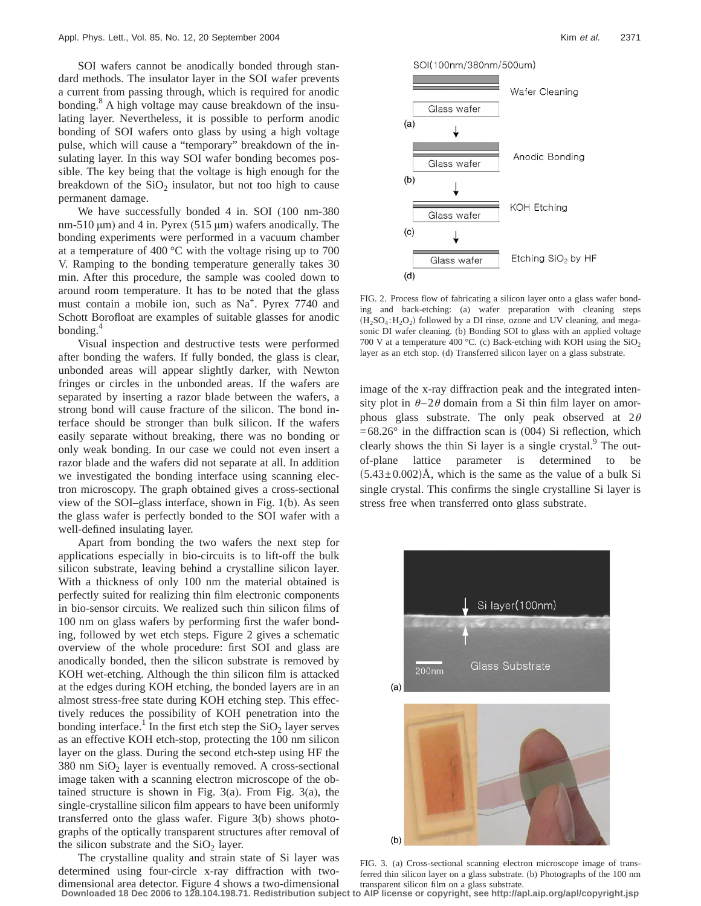SOI wafers cannot be anodically bonded through standard methods. The insulator layer in the SOI wafer prevents a current from passing through, which is required for anodic bonding. $8$  A high voltage may cause breakdown of the insulating layer. Nevertheless, it is possible to perform anodic bonding of SOI wafers onto glass by using a high voltage pulse, which will cause a "temporary" breakdown of the insulating layer. In this way SOI wafer bonding becomes possible. The key being that the voltage is high enough for the breakdown of the  $SiO<sub>2</sub>$  insulator, but not too high to cause permanent damage.

We have successfully bonded 4 in. SOI (100 nm-380 nm-510  $\mu$ m) and 4 in. Pyrex (515  $\mu$ m) wafers anodically. The bonding experiments were performed in a vacuum chamber at a temperature of 400 °C with the voltage rising up to 700 V. Ramping to the bonding temperature generally takes 30 min. After this procedure, the sample was cooled down to around room temperature. It has to be noted that the glass must contain a mobile ion, such as  $Na<sup>+</sup>$ . Pyrex 7740 and Schott Borofloat are examples of suitable glasses for anodic bonding.<sup>4</sup>

Visual inspection and destructive tests were performed after bonding the wafers. If fully bonded, the glass is clear, unbonded areas will appear slightly darker, with Newton fringes or circles in the unbonded areas. If the wafers are separated by inserting a razor blade between the wafers, a strong bond will cause fracture of the silicon. The bond interface should be stronger than bulk silicon. If the wafers easily separate without breaking, there was no bonding or only weak bonding. In our case we could not even insert a razor blade and the wafers did not separate at all. In addition we investigated the bonding interface using scanning electron microscopy. The graph obtained gives a cross-sectional view of the SOI–glass interface, shown in Fig. 1(b). As seen the glass wafer is perfectly bonded to the SOI wafer with a well-defined insulating layer.

Apart from bonding the two wafers the next step for applications especially in bio-circuits is to lift-off the bulk silicon substrate, leaving behind a crystalline silicon layer. With a thickness of only 100 nm the material obtained is perfectly suited for realizing thin film electronic components in bio-sensor circuits. We realized such thin silicon films of 100 nm on glass wafers by performing first the wafer bonding, followed by wet etch steps. Figure 2 gives a schematic overview of the whole procedure: first SOI and glass are anodically bonded, then the silicon substrate is removed by KOH wet-etching. Although the thin silicon film is attacked at the edges during KOH etching, the bonded layers are in an almost stress-free state during KOH etching step. This effectively reduces the possibility of KOH penetration into the bonding interface.<sup>1</sup> In the first etch step the  $SiO<sub>2</sub>$  layer serves as an effective KOH etch-stop, protecting the 100 nm silicon layer on the glass. During the second etch-step using HF the  $380$  nm  $SiO<sub>2</sub>$  layer is eventually removed. A cross-sectional image taken with a scanning electron microscope of the obtained structure is shown in Fig. 3(a). From Fig. 3(a), the single-crystalline silicon film appears to have been uniformly transferred onto the glass wafer. Figure 3(b) shows photographs of the optically transparent structures after removal of the silicon substrate and the  $SiO<sub>2</sub>$  layer.

The crystalline quality and strain state of Si layer was determined using four-circle x-ray diffraction with twodimensional area detector. Figure 4 shows a two-dimensional **Downloaded 18 Dec 2006 to 128.104.198.71. Redistribution subject to AIP license or copyright, see http://apl.aip.org/apl/copyright.jsp**





FIG. 2. Process flow of fabricating a silicon layer onto a glass wafer bonding and back-etching: (a) wafer preparation with cleaning steps  $(H_2SO_4: H_2O_2)$  followed by a DI rinse, ozone and UV cleaning, and megasonic DI wafer cleaning. (b) Bonding SOI to glass with an applied voltage 700 V at a temperature 400 °C. (c) Back-etching with KOH using the  $SiO<sub>2</sub>$ layer as an etch stop. (d) Transferred silicon layer on a glass substrate.

image of the x-ray diffraction peak and the integrated intensity plot in  $\theta$ –2 $\theta$  domain from a Si thin film layer on amorphous glass substrate. The only peak observed at  $2\theta$  $=68.26^{\circ}$  in the diffraction scan is (004) Si reflection, which clearly shows the thin Si layer is a single crystal. $9$  The outof-plane lattice parameter is determined to be  $(5.43\pm0.002)\text{\AA}$ , which is the same as the value of a bulk Si single crystal. This confirms the single crystalline Si layer is stress free when transferred onto glass substrate.



FIG. 3. (a) Cross-sectional scanning electron microscope image of transferred thin silicon layer on a glass substrate. (b) Photographs of the 100 nm transparent silicon film on a glass substrate.